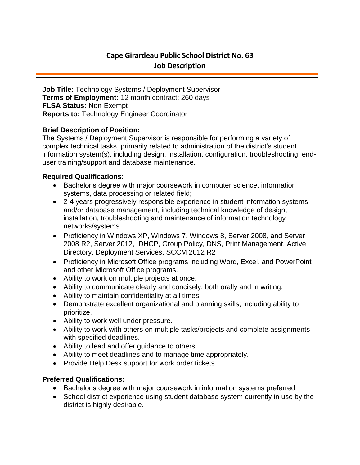# **Cape Girardeau Public School District No. 63 Job Description**

**Job Title:** Technology Systems / Deployment Supervisor **Terms of Employment:** 12 month contract; 260 days **FLSA Status:** Non-Exempt **Reports to:** Technology Engineer Coordinator

## **Brief Description of Position:**

The Systems / Deployment Supervisor is responsible for performing a variety of complex technical tasks, primarily related to administration of the district's student information system(s), including design, installation, configuration, troubleshooting, enduser training/support and database maintenance.

### **Required Qualifications:**

- Bachelor's degree with major coursework in computer science, information systems, data processing or related field;
- 2-4 years progressively responsible experience in student information systems and/or database management, including technical knowledge of design, installation, troubleshooting and maintenance of information technology networks/systems.
- Proficiency in Windows XP, Windows 7, Windows 8, Server 2008, and Server 2008 R2, Server 2012, DHCP, Group Policy, DNS, Print Management, Active Directory, Deployment Services, SCCM 2012 R2
- Proficiency in Microsoft Office programs including Word, Excel, and PowerPoint and other Microsoft Office programs.
- Ability to work on multiple projects at once.
- Ability to communicate clearly and concisely, both orally and in writing.
- Ability to maintain confidentiality at all times.
- Demonstrate excellent organizational and planning skills; including ability to prioritize.
- Ability to work well under pressure.
- Ability to work with others on multiple tasks/projects and complete assignments with specified deadlines.
- Ability to lead and offer guidance to others.
- Ability to meet deadlines and to manage time appropriately.
- Provide Help Desk support for work order tickets

# **Preferred Qualifications:**

- Bachelor's degree with major coursework in information systems preferred
- School district experience using student database system currently in use by the district is highly desirable.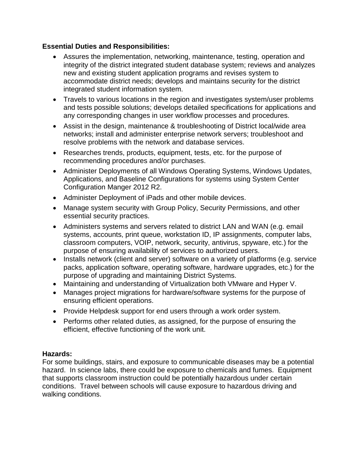# **Essential Duties and Responsibilities:**

- Assures the implementation, networking, maintenance, testing, operation and integrity of the district integrated student database system; reviews and analyzes new and existing student application programs and revises system to accommodate district needs; develops and maintains security for the district integrated student information system.
- Travels to various locations in the region and investigates system/user problems and tests possible solutions; develops detailed specifications for applications and any corresponding changes in user workflow processes and procedures.
- Assist in the design, maintenance & troubleshooting of District local/wide area networks; install and administer enterprise network servers; troubleshoot and resolve problems with the network and database services.
- Researches trends, products, equipment, tests, etc. for the purpose of recommending procedures and/or purchases.
- Administer Deployments of all Windows Operating Systems, Windows Updates, Applications, and Baseline Configurations for systems using System Center Configuration Manger 2012 R2.
- Administer Deployment of iPads and other mobile devices.
- Manage system security with Group Policy, Security Permissions, and other essential security practices.
- Administers systems and servers related to district LAN and WAN (e.g. email systems, accounts, print queue, workstation ID, IP assignments, computer labs, classroom computers, VOIP, network, security, antivirus, spyware, etc.) for the purpose of ensuring availability of services to authorized users.
- Installs network (client and server) software on a variety of platforms (e.g. service packs, application software, operating software, hardware upgrades, etc.) for the purpose of upgrading and maintaining District Systems.
- Maintaining and understanding of Virtualization both VMware and Hyper V.
- Manages project migrations for hardware/software systems for the purpose of ensuring efficient operations.
- Provide Helpdesk support for end users through a work order system.
- Performs other related duties, as assigned, for the purpose of ensuring the efficient, effective functioning of the work unit.

### **Hazards:**

For some buildings, stairs, and exposure to communicable diseases may be a potential hazard. In science labs, there could be exposure to chemicals and fumes. Equipment that supports classroom instruction could be potentially hazardous under certain conditions. Travel between schools will cause exposure to hazardous driving and walking conditions.